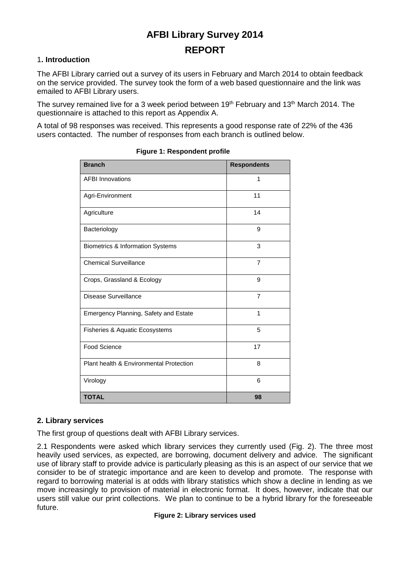# **AFBI Library Survey 2014 REPORT**

### 1**. Introduction**

The AFBI Library carried out a survey of its users in February and March 2014 to obtain feedback on the service provided. The survey took the form of a web based questionnaire and the link was emailed to AFBI Library users.

The survey remained live for a 3 week period between 19<sup>th</sup> February and 13<sup>th</sup> March 2014. The questionnaire is attached to this report as Appendix A.

A total of 98 responses was received. This represents a good response rate of 22% of the 436 users contacted. The number of responses from each branch is outlined below.

| <b>Branch</b>                               | <b>Respondents</b> |
|---------------------------------------------|--------------------|
| <b>AFBI Innovations</b>                     | 1                  |
| Agri-Environment                            | 11                 |
| Agriculture                                 | 14                 |
| Bacteriology                                | 9                  |
| <b>Biometrics &amp; Information Systems</b> | 3                  |
| <b>Chemical Surveillance</b>                | $\overline{7}$     |
| Crops, Grassland & Ecology                  | 9                  |
| <b>Disease Surveillance</b>                 | $\overline{7}$     |
| Emergency Planning, Safety and Estate       | 1                  |
| Fisheries & Aquatic Ecosystems              | 5                  |
| <b>Food Science</b>                         | 17                 |
| Plant health & Environmental Protection     | 8                  |
| Virology                                    | 6                  |
| <b>TOTAL</b>                                | 98                 |

#### **Figure 1: Respondent profile**

### **2. Library services**

The first group of questions dealt with AFBI Library services.

2.1 Respondents were asked which library services they currently used (Fig. 2). The three most heavily used services, as expected, are borrowing, document delivery and advice. The significant use of library staff to provide advice is particularly pleasing as this is an aspect of our service that we consider to be of strategic importance and are keen to develop and promote. The response with regard to borrowing material is at odds with library statistics which show a decline in lending as we move increasingly to provision of material in electronic format. It does, however, indicate that our users still value our print collections. We plan to continue to be a hybrid library for the foreseeable future.

#### **Figure 2: Library services used**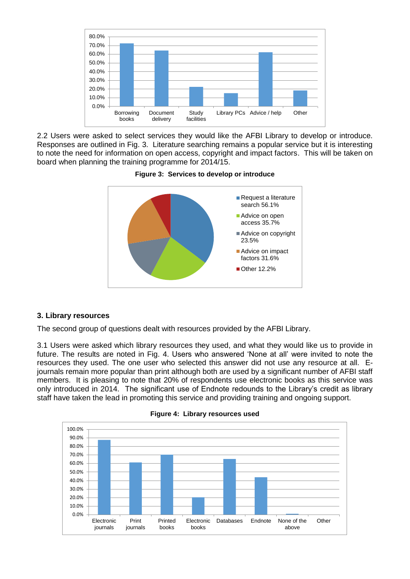

2.2 Users were asked to select services they would like the AFBI Library to develop or introduce. Responses are outlined in Fig. 3. Literature searching remains a popular service but it is interesting to note the need for information on open access, copyright and impact factors. This will be taken on board when planning the training programme for 2014/15.



### **Figure 3: Services to develop or introduce**

### **3. Library resources**

The second group of questions dealt with resources provided by the AFBI Library.

3.1 Users were asked which library resources they used, and what they would like us to provide in future. The results are noted in Fig. 4. Users who answered 'None at all' were invited to note the resources they used. The one user who selected this answer did not use any resource at all. Ejournals remain more popular than print although both are used by a significant number of AFBI staff members. It is pleasing to note that 20% of respondents use electronic books as this service was only introduced in 2014. The significant use of Endnote redounds to the Library's credit as library staff have taken the lead in promoting this service and providing training and ongoing support.



**Figure 4: Library resources used**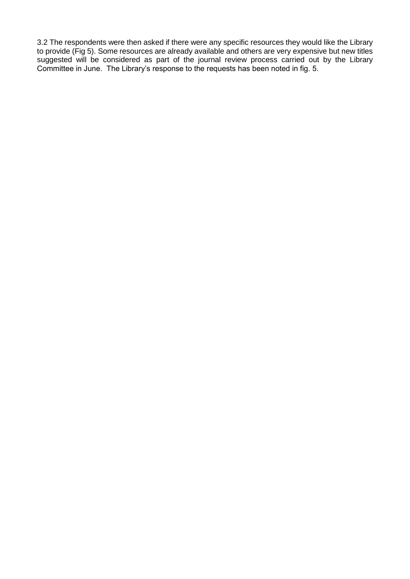3.2 The respondents were then asked if there were any specific resources they would like the Library to provide (Fig 5). Some resources are already available and others are very expensive but new titles suggested will be considered as part of the journal review process carried out by the Library Committee in June. The Library's response to the requests has been noted in fig. 5.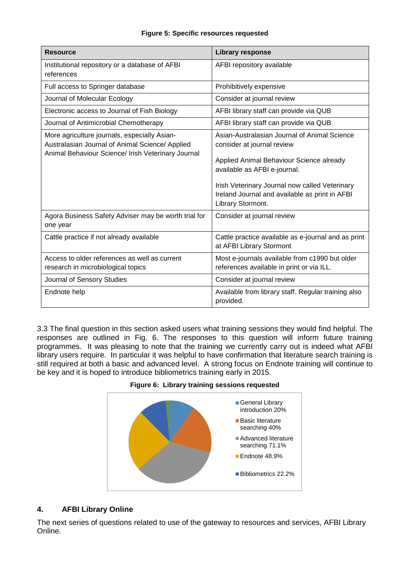#### **Figure 5: Specific resources requested**

| <b>Resource</b>                                                                                                                                       | <b>Library response</b>                                                                                                                                                                                                                                                         |
|-------------------------------------------------------------------------------------------------------------------------------------------------------|---------------------------------------------------------------------------------------------------------------------------------------------------------------------------------------------------------------------------------------------------------------------------------|
| Institutional repository or a database of AFBI<br>references                                                                                          | AFBI repository available                                                                                                                                                                                                                                                       |
| Full access to Springer database                                                                                                                      | Prohibitively expensive                                                                                                                                                                                                                                                         |
| Journal of Molecular Ecology                                                                                                                          | Consider at journal review                                                                                                                                                                                                                                                      |
| Electronic access to Journal of Fish Biology                                                                                                          | AFBI library staff can provide via QUB                                                                                                                                                                                                                                          |
| Journal of Antimicrobial Chemotherapy                                                                                                                 | AFBI library staff can provide via QUB                                                                                                                                                                                                                                          |
| More agriculture journals, especially Asian-<br>Australasian Journal of Animal Science/ Applied<br>Animal Behaviour Science/ Irish Veterinary Journal | Asian-Australasian Journal of Animal Science<br>consider at journal review<br>Applied Animal Behaviour Science already<br>available as AFBI e-journal.<br>Irish Veterinary Journal now called Veterinary<br>Ireland Journal and available as print in AFBI<br>Library Stormont. |
| Agora Business Safety Adviser may be worth trial for<br>one year                                                                                      | Consider at journal review                                                                                                                                                                                                                                                      |
| Cattle practice if not already available                                                                                                              | Cattle practice available as e-journal and as print<br>at AFBI Library Stormont                                                                                                                                                                                                 |
| Access to older references as well as current<br>research in microbiological topics                                                                   | Most e-journals available from c1990 but older<br>references available in print or via ILL.                                                                                                                                                                                     |
| Journal of Sensory Studies                                                                                                                            | Consider at journal review                                                                                                                                                                                                                                                      |
| Endnote help                                                                                                                                          | Available from library staff. Regular training also<br>provided.                                                                                                                                                                                                                |

3.3 The final question in this section asked users what training sessions they would find helpful. The responses are outlined in Fig. 6. The responses to this question will inform future training programmes. It was pleasing to note that the training we currently carry out is indeed what AFBI library users require. In particular it was helpful to have confirmation that literature search training is still required at both a basic and advanced level. A strong focus on Endnote training will continue to be key and it is hoped to introduce bibliometrics training early in 2015.

#### **Figure 6: Library training sessions requested**



### **4. AFBI Library Online**

The next series of questions related to use of the gateway to resources and services, AFBI Library Online.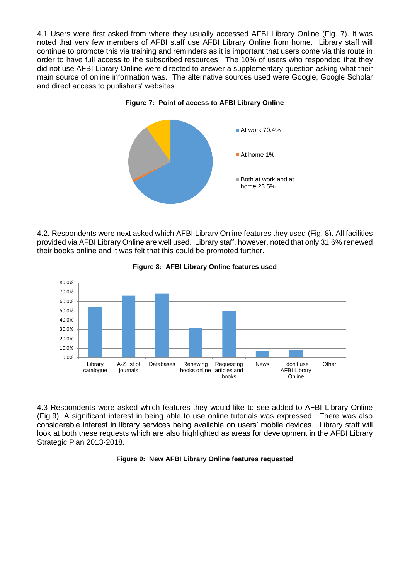4.1 Users were first asked from where they usually accessed AFBI Library Online (Fig. 7). It was noted that very few members of AFBI staff use AFBI Library Online from home. Library staff will continue to promote this via training and reminders as it is important that users come via this route in order to have full access to the subscribed resources. The 10% of users who responded that they did not use AFBI Library Online were directed to answer a supplementary question asking what their main source of online information was. The alternative sources used were Google, Google Scholar and direct access to publishers' websites.



**Figure 7: Point of access to AFBI Library Online**

4.2. Respondents were next asked which AFBI Library Online features they used (Fig. 8). All facilities provided via AFBI Library Online are well used. Library staff, however, noted that only 31.6% renewed their books online and it was felt that this could be promoted further.



**Figure 8: AFBI Library Online features used**

4.3 Respondents were asked which features they would like to see added to AFBI Library Online (Fig.9). A significant interest in being able to use online tutorials was expressed. There was also considerable interest in library services being available on users' mobile devices. Library staff will look at both these requests which are also highlighted as areas for development in the AFBI Library Strategic Plan 2013-2018.

#### **Figure 9: New AFBI Library Online features requested**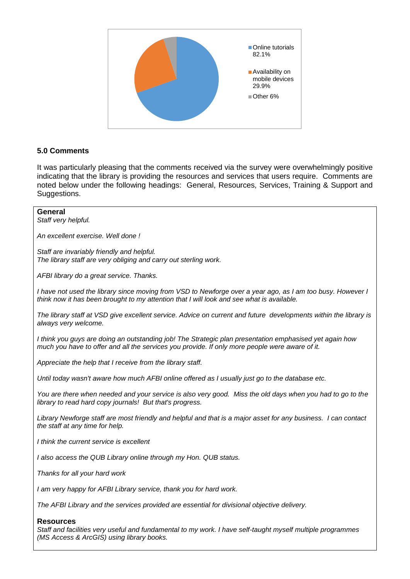

### **5.0 Comments**

It was particularly pleasing that the comments received via the survey were overwhelmingly positive indicating that the library is providing the resources and services that users require. Comments are noted below under the following headings: General, Resources, Services, Training & Support and Suggestions.

#### **General**

*Staff very helpful.*

*An excellent exercise. Well done !*

*Staff are invariably friendly and helpful. The library staff are very obliging and carry out sterling work.*

*AFBI library do a great service. Thanks.*

*I have not used the library since moving from VSD to Newforge over a year ago, as I am too busy. However I think now it has been brought to my attention that I will look and see what is available.*

*The library staff at VSD give excellent service. Advice on current and future developments within the library is always very welcome.*

*I think you guys are doing an outstanding job! The Strategic plan presentation emphasised yet again how much you have to offer and all the services you provide. If only more people were aware of it.*

*Appreciate the help that I receive from the library staff.*

*Until today wasn't aware how much AFBI online offered as I usually just go to the database etc.*

*You are there when needed and your service is also very good. Miss the old days when you had to go to the library to read hard copy journals! But that's progress.*

*Library Newforge staff are most friendly and helpful and that is a major asset for any business. I can contact the staff at any time for help.*

*I think the current service is excellent*

*I also access the QUB Library online through my Hon. QUB status.*

*Thanks for all your hard work* 

*I am very happy for AFBI Library service, thank you for hard work.*

*The AFBI Library and the services provided are essential for divisional objective delivery.*

#### **Resources**

*Staff and facilities very useful and fundamental to my work. I have self-taught myself multiple programmes (MS Access & ArcGIS) using library books.*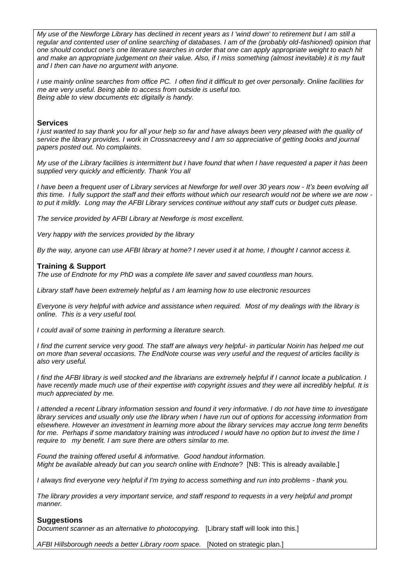*My use of the Newforge Library has declined in recent years as I 'wind down' to retirement but I am still a regular and contented user of online searching of databases. I am of the (probably old-fashioned) opinion that one should conduct one's one literature searches in order that one can apply appropriate weight to each hit*  and make an appropriate judgement on their value. Also, if I miss something (almost inevitable) it is my fault *and I then can have no argument with anyone.*

*I use mainly online searches from office PC. I often find it difficult to get over personally. Online facilities for me are very useful. Being able to access from outside is useful too. Being able to view documents etc digitally is handy.*

#### **Services**

*I just wanted to say thank you for all your help so far and have always been very pleased with the quality of service the library provides. I work in Crossnacreevy and I am so appreciative of getting books and journal papers posted out. No complaints.*

*My use of the Library facilities is intermittent but I have found that when I have requested a paper it has been supplied very quickly and efficiently. Thank You all* 

*I have been a frequent user of Library services at Newforge for well over 30 years now - It's been evolving all this time. I fully support the staff and their efforts without which our research would not be where we are now to put it mildly. Long may the AFBI Library services continue without any staff cuts or budget cuts please.*

*The service provided by AFBI Library at Newforge is most excellent.*

*Very happy with the services provided by the library*

*By the way, anyone can use AFBI library at home? I never used it at home, I thought I cannot access it.*

#### **Training & Support**

*The use of Endnote for my PhD was a complete life saver and saved countless man hours.*

*Library staff have been extremely helpful as I am learning how to use electronic resources* 

*Everyone is very helpful with advice and assistance when required. Most of my dealings with the library is online. This is a very useful tool.*

*I could avail of some training in performing a literature search.*

*I find the current service very good. The staff are always very helpful- in particular Noirin has helped me out on more than several occasions. The EndNote course was very useful and the request of articles facility is also very useful.*

*I find the AFBI library is well stocked and the librarians are extremely helpful if I cannot locate a publication. I have recently made much use of their expertise with copyright issues and they were all incredibly helpful. It is much appreciated by me.*

*I attended a recent Library information session and found it very informative. I do not have time to investigate library services and usually only use the library when I have run out of options for accessing information from elsewhere. However an investment in learning more about the library services may accrue long term benefits*  for me. Perhaps if some mandatory training was introduced I would have no option but to invest the time I *require to my benefit. I am sure there are others similar to me.*

*Found the training offered useful & informative. Good handout information. Might be available already but can you search online with Endnote*? [NB: This is already available.]

*I always find everyone very helpful if I'm trying to access something and run into problems - thank you.*

*The library provides a very important service, and staff respond to requests in a very helpful and prompt manner.*

#### **Suggestions**

*Document scanner as an alternative to photocopying.* [Library staff will look into this.]

*AFBI Hillsborough needs a better Library room space.* [Noted on strategic plan.]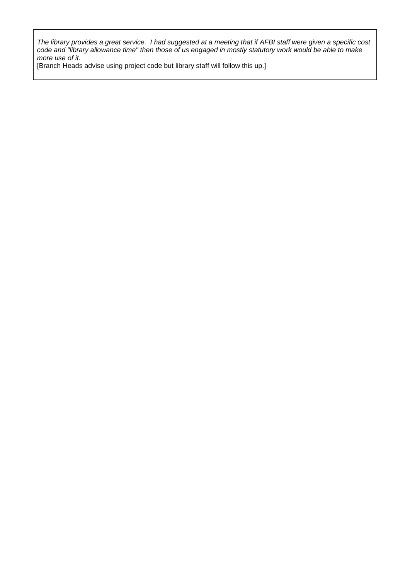*The library provides a great service. I had suggested at a meeting that if AFBI staff were given a specific cost code and "library allowance time" then those of us engaged in mostly statutory work would be able to make more use of it.* 

[Branch Heads advise using project code but library staff will follow this up.]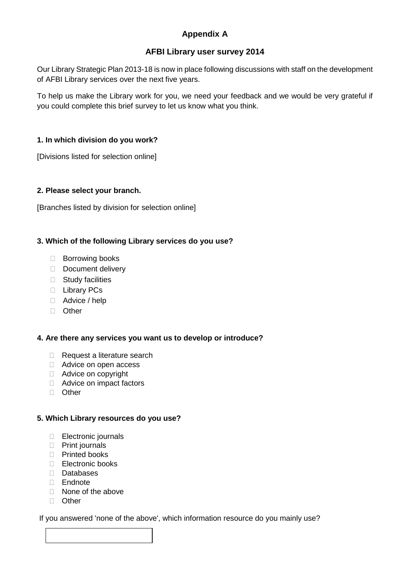# **Appendix A**

## **AFBI Library user survey 2014**

Our Library Strategic Plan 2013-18 is now in place following discussions with staff on the development of AFBI Library services over the next five years.

To help us make the Library work for you, we need your feedback and we would be very grateful if you could complete this brief survey to let us know what you think.

### **1. In which division do you work?**

[Divisions listed for selection online]

### **2. Please select your branch.**

[Branches listed by division for selection online]

### **3. Which of the following Library services do you use?**

- □ Borrowing books
- Document delivery
- $\Box$  Study facilities
- D Library PCs
- □ Advice / help
- □ Other

### **4. Are there any services you want us to develop or introduce?**

- Request a literature search
- Advice on open access
- Advice on copyright
- Advice on impact factors
- □ Other

### **5. Which Library resources do you use?**

- Electronic journals
- Print journals
- □ Printed books
- Electronic books
- Databases
- Endnote
- □ None of the above
- □ Other

### If you answered 'none of the above', which information resource do you mainly use?